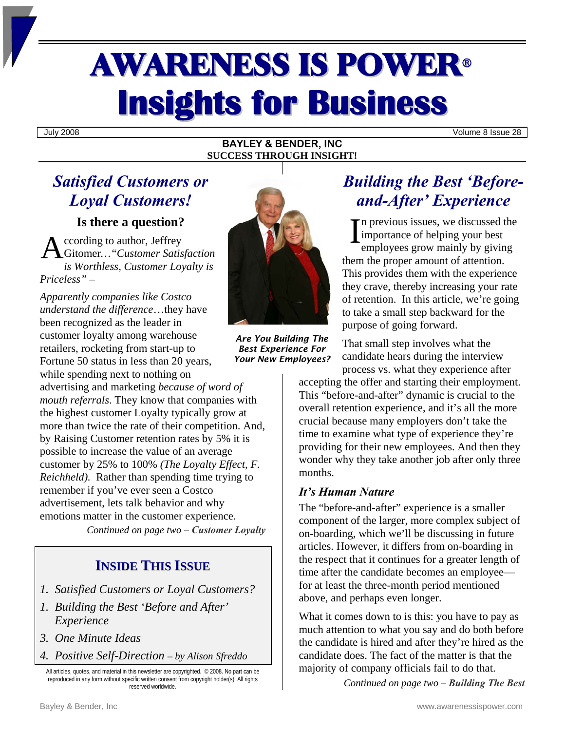# AWARENESS IS POWER<sup>ü</sup> **Insights for Business**

July 2008 Volume 8 Issue 28

#### **BAYLEY & BENDER, INC SUCCESS THROUGH INSIGHT!**

## *Satisfied Customers or Loyal Customers!*

**Is there a question?** 

ccording to author, Jeffrey *is Worthless, Customer Loyalty is Priceless"* –

*Apparently companies like Costco understand the difference*…they have been recognized as the leader in customer loyalty among warehouse retailers, rocketing from start-up to Fortune 50 status in less than 20 years, while spending next to nothing on

advertising and marketing *because of word of mouth referrals*. They know that companies with the highest customer Loyalty typically grow at more than twice the rate of their competition. And, by Raising Customer retention rates by 5% it is possible to increase the value of an average customer by 25% to 100% *(The Loyalty Effect, F. Reichheld*). Rather than spending time trying to remember if you've ever seen a Costco advertisement, lets talk behavior and why emotions matter in the customer experience.

*Continued on page two – Customer Loyalty* 

### **INSIDE THIS ISSUE**

- *1. Satisfied Customers or Loyal Customers?*
- *1. Building the Best 'Before and After' Experience*
- *3. One Minute Ideas*
- *4. Positive Self-Direction by Alison Sfreddo*

All articles, quotes, and material in this newsletter are copyrighted. © 2008. No part can be reproduced in any form without specific written consent from copyright holder(s). All rights reserved worldwide.



*Are You Building The Best Experience For Your New Employees?* 

## *Building the Best 'Beforeand-After' Experience*

n previous issues, we discussed the importance of helping your best employees grow mainly by giving them the proper amount of attention. This provides them with the experience they crave, thereby increasing your rate of retention. In this article, we're going to take a small step backward for the purpose of going forward.

That small step involves what the candidate hears during the interview process vs. what they experience after

accepting the offer and starting their employment. This "before-and-after" dynamic is crucial to the overall retention experience, and it's all the more crucial because many employers don't take the time to examine what type of experience they're providing for their new employees. And then they wonder why they take another job after only three months.

#### *It's Human Nature*

The "before-and-after" experience is a smaller component of the larger, more complex subject of on-boarding, which we'll be discussing in future articles. However, it differs from on-boarding in the respect that it continues for a greater length of time after the candidate becomes an employee for at least the three-month period mentioned above, and perhaps even longer.

What it comes down to is this: you have to pay as much attention to what you say and do both before the candidate is hired and after they're hired as the candidate does. The fact of the matter is that the majority of company officials fail to do that.

*Continued on page two – Building The Best*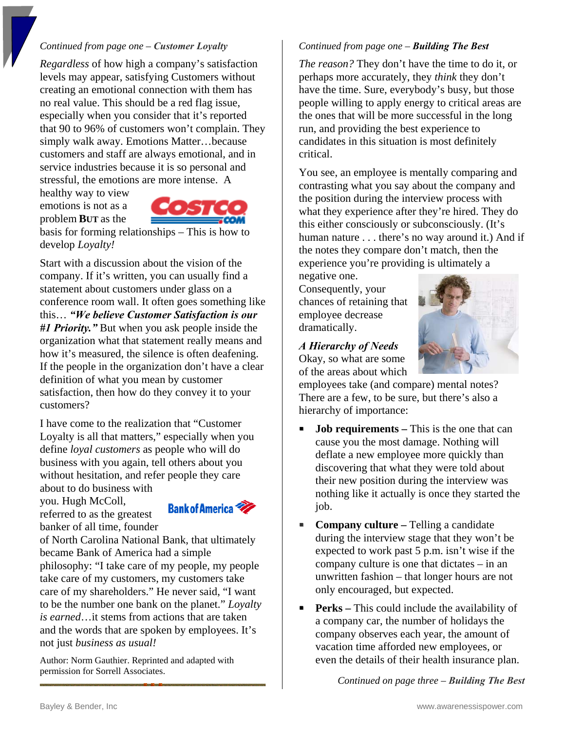#### *Continued from page one – Customer Loyalty*

*Regardless* of how high a company's satisfaction levels may appear, satisfying Customers without creating an emotional connection with them has no real value. This should be a red flag issue, especially when you consider that it's reported that 90 to 96% of customers won't complain. They simply walk away. Emotions Matter…because customers and staff are always emotional, and in service industries because it is so personal and stressful, the emotions are more intense. A

healthy way to view emotions is not as a problem **BUT** as the



basis for forming relationships – This is how to develop *Loyalty!* 

Start with a discussion about the vision of the company. If it's written, you can usually find a statement about customers under glass on a conference room wall. It often goes something like this… *"We believe Customer Satisfaction is our #1 Priority."* But when you ask people inside the organization what that statement really means and how it's measured, the silence is often deafening. If the people in the organization don't have a clear definition of what you mean by customer satisfaction, then how do they convey it to your customers?

I have come to the realization that "Customer Loyalty is all that matters," especially when you define *loyal customers* as people who will do business with you again, tell others about you without hesitation, and refer people they care about to do business with

you. Hugh McColl, referred to as the greatest



banker of all time, founder of North Carolina National Bank, that ultimately became Bank of America had a simple philosophy: "I take care of my people, my people take care of my customers, my customers take care of my shareholders." He never said, "I want to be the number one bank on the planet." *Loyalty is earned*…it stems from actions that are taken and the words that are spoken by employees. It's not just *business as usual!*

Author: Norm Gauthier. Reprinted and adapted with permission for Sorrell Associates.

#### *Continued from page one – Building The Best*

*The reason?* They don't have the time to do it, or perhaps more accurately, they *think* they don't have the time. Sure, everybody's busy, but those people willing to apply energy to critical areas are the ones that will be more successful in the long run, and providing the best experience to candidates in this situation is most definitely critical.

You see, an employee is mentally comparing and contrasting what you say about the company and the position during the interview process with what they experience after they're hired. They do this either consciously or subconsciously. (It's human nature . . . there's no way around it.) And if the notes they compare don't match, then the experience you're providing is ultimately a

negative one. Consequently, your chances of retaining that employee decrease dramatically.

#### *A Hierarchy of Needs*  Okay, so what are some

of the areas about which



employees take (and compare) mental notes? There are a few, to be sure, but there's also a hierarchy of importance:

- **Job requirements** This is the one that can cause you the most damage. Nothing will deflate a new employee more quickly than discovering that what they were told about their new position during the interview was nothing like it actually is once they started the job.
- **Company culture Telling a candidate** during the interview stage that they won't be expected to work past 5 p.m. isn't wise if the company culture is one that dictates – in an unwritten fashion – that longer hours are not only encouraged, but expected.
- **Perks** This could include the availability of a company car, the number of holidays the company observes each year, the amount of vacation time afforded new employees, or even the details of their health insurance plan.

*Continued on page three – Building The Best*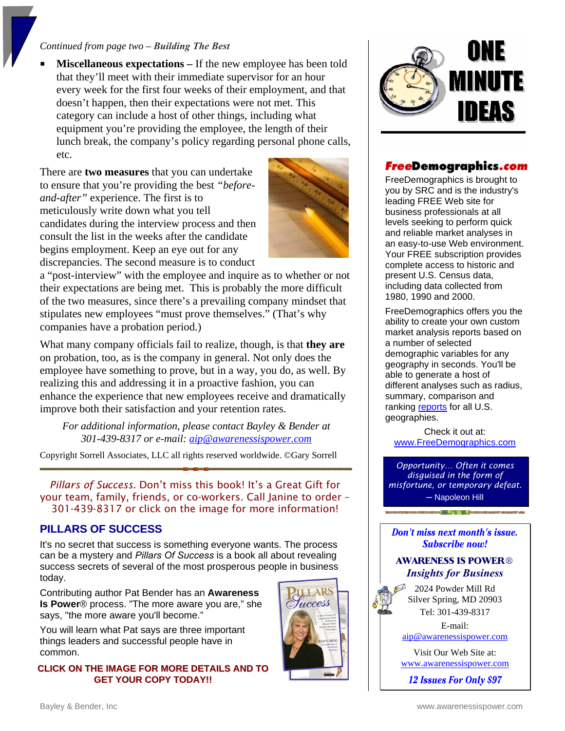#### *Continued from page two – Building The Best*

 **Miscellaneous expectations –** If the new employee has been told that they'll meet with their immediate supervisor for an hour every week for the first four weeks of their employment, and that doesn't happen, then their expectations were not met. This category can include a host of other things, including what equipment you're providing the employee, the length of their lunch break, the company's policy regarding personal phone calls, etc.

There are **two measures** that you can undertake to ensure that you're providing the best *"beforeand-after"* experience. The first is to meticulously write down what you tell candidates during the interview process and then consult the list in the weeks after the candidate begins employment. Keep an eye out for any discrepancies. The second measure is to conduct



a "post-interview" with the employee and inquire as to whether or not their expectations are being met. This is probably the more difficult of the two measures, since there's a prevailing company mindset that stipulates new employees "must prove themselves." (That's why companies have a probation period.)

What many company officials fail to realize, though, is that **they are** on probation, too, as is the company in general. Not only does the employee have something to prove, but in a way, you do, as well. By realizing this and addressing it in a proactive fashion, you can enhance the experience that new employees receive and dramatically improve both their satisfaction and your retention rates.

*For additional information, please contact Bayley & Bender at 301-439-8317 or e-mail: [aip@awarenessispower.com](mailto:aip@awarenessispower.com)*

Copyright Sorrell Associates, LLC all rights reserved worldwide. ©Gary Sorrell

*Pillars of Success.* Don't miss this book! It's a Great Gift for your team, family, friends, or co-workers. Call Janine to order – 301-439-8317 or click on the image for more information!

#### **PILLARS OF SUCCESS**

It's no secret that success is something everyone wants. The process can be a mystery and *Pillars Of Success* is a book all about revealing success secrets of several of the most prosperous people in business today.

Contributing author Pat Bender has an **Awareness Is Power**® process. "The more aware you are," she says, "the more aware you'll become."

You will learn what Pat says are three important things leaders and successful people have in common.

#### **CLICK ON THE IMAGE FOR MORE DETAILS AND TO GET YOUR COPY TODAY!!**





#### FreeDemographics.com

FreeDemographics is brought to you by SRC and is the industry's leading FREE Web site for business professionals at all levels seeking to perform quick and reliable market analyses in an easy-to-use Web environment. Your FREE subscription provides complete access to historic and present U.S. Census data, including data collected from 1980, 1990 and 2000.

FreeDemographics offers you the ability to create your own custom market analysis reports based on a number of selected demographic variables for any geography in seconds. You'll be able to generate a host of different analyses such as radius, summary, comparison and ranking [reports](http://www.freedemographics.com/AllocateOnline.srct?ShowPage=static/samples.htm) for all U.S. geographies.

Check it out at: [www.FreeDemographics.com](http://www.freedemographics.com/)

*Opportunity… Often it comes disguised in the form of misfortune, or temporary defeat. ─* Napoleon Hill

#### **Don't miss next month's issue. Subscribe now!**

#### **AWARENESS IS POWER®** *Insights for Business*

2024 Powder Mill Rd Silver Spring, MD 20903 Tel: 301-439-8317

E-mail:

[aip@awarenessispower.com](mailto:aip@awarenessispower.com)

Visit Our Web Site at: [www.awarenessispower.com](http://www.awarenessispower.com/)

12 Issues For Only \$97